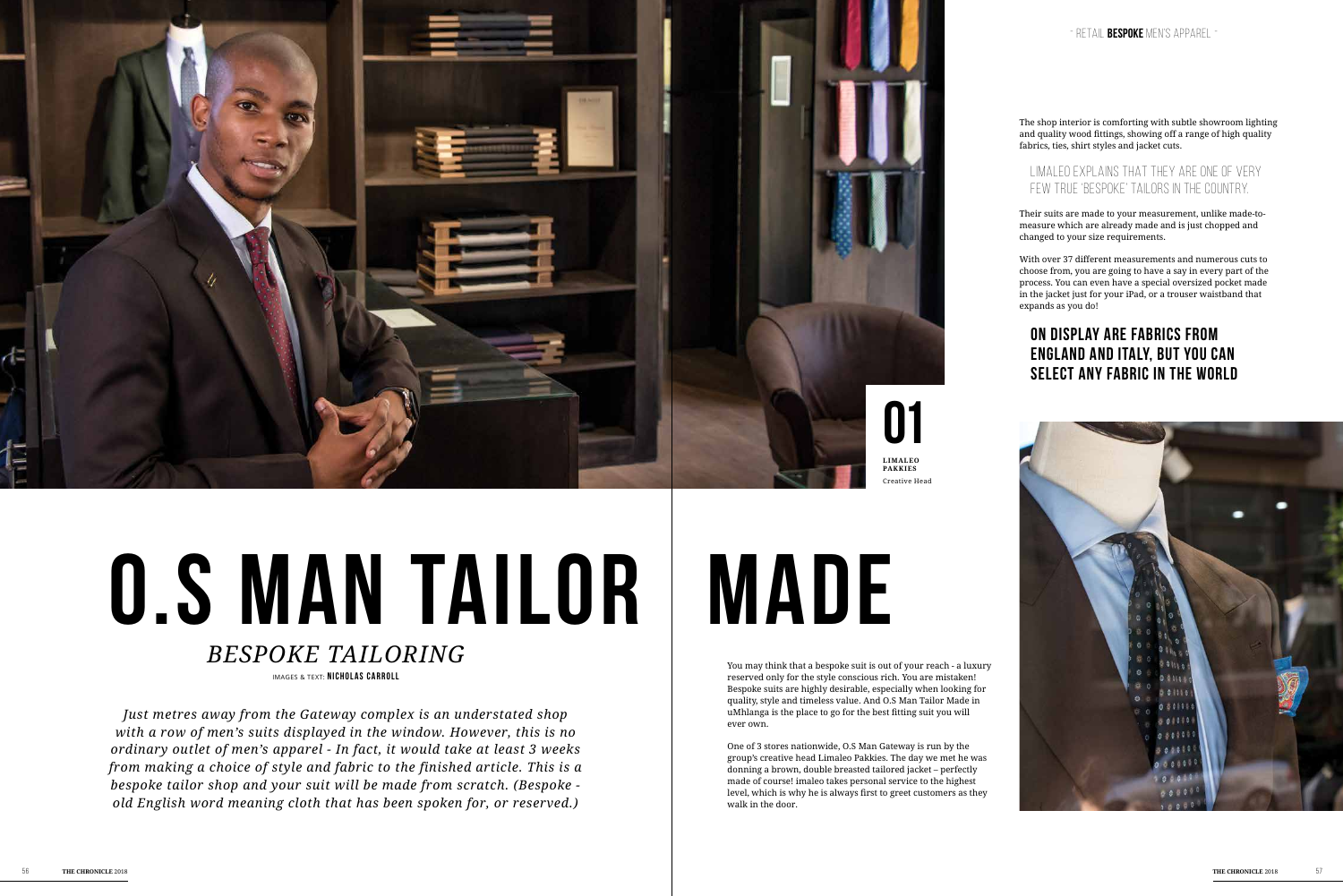You may think that a bespoke suit is out of your reach - a luxury reserved only for the style conscious rich. You are mistaken! Bespoke suits are highly desirable, especially when looking for quality, style and timeless value. And O.S Man Tailor Made in uMhlanga is the place to go for the best fitting suit you will ever own.

One of 3 stores nationwide, O.S Man Gateway is run by the group's creative head Limaleo Pakkies. The day we met he was donning a brown, double breasted tailored jacket – perfectly made of course! imaleo takes personal service to the highest level, which is why he is always first to greet customers as they walk in the door.

*Just metres away from the Gateway complex is an understated shop with a row of men's suits displayed in the window. However, this is no ordinary outlet of men's apparel - In fact, it would take at least 3 weeks from making a choice of style and fabric to the finished article. This is a bespoke tailor shop and your suit will be made from scratch. (Bespoke old English word meaning cloth that has been spoken for, or reserved.)* 

## IMAGES & TEXT: **NICHOLAS CARROLL** *Bespoke tailoring*

The shop interior is comforting with subtle showroom lighting and quality wood fittings, showing off a range of high quality fabrics, ties, shirt styles and jacket cuts.

## Limaleo explains that they are one of very few true 'bespoke' tailors in the country.

Their suits are made to your measurement, unlike made-tomeasure which are already made and is just chopped and changed to your size requirements.

With over 37 different measurements and numerous cuts to choose from, you are going to have a say in every part of the process. You can even have a special oversized pocket made in the jacket just for your iPad, or a trouser waistband that expands as you do!

# **On display are fabrics from England and Italy, but you can select any fabric in the world**





# **O.S MAN TAILOR | MADE**

- RETAIL **bespoke** men's apparel -